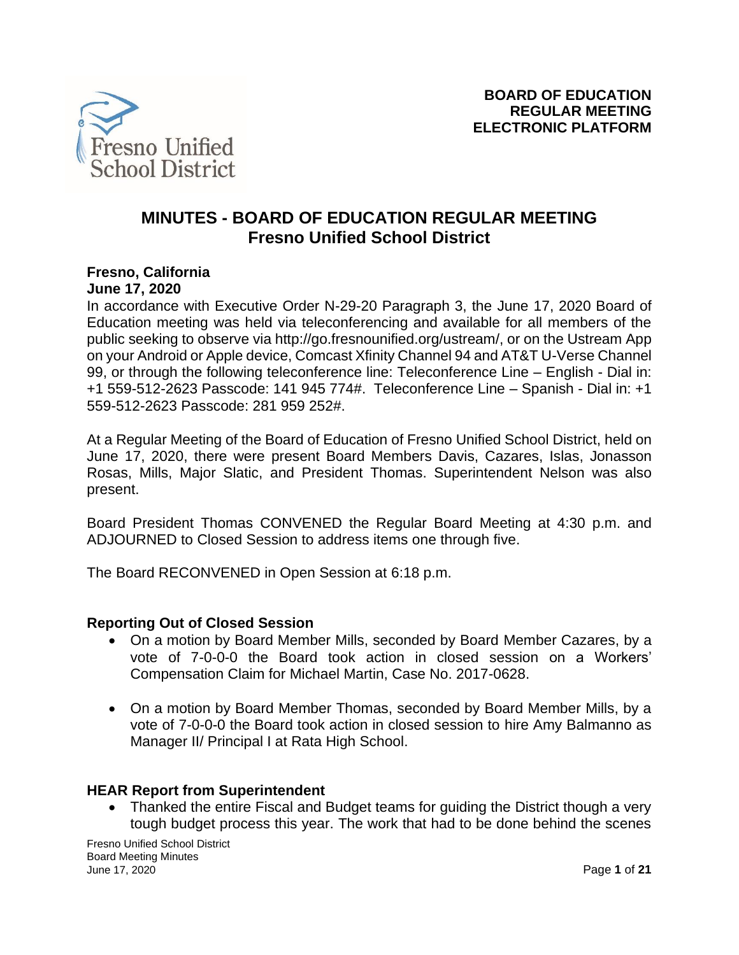

# **MINUTES - BOARD OF EDUCATION REGULAR MEETING Fresno Unified School District**

# **Fresno, California**

**June 17, 2020**

In accordance with Executive Order N-29-20 Paragraph 3, the June 17, 2020 Board of Education meeting was held via teleconferencing and available for all members of the public seeking to observe via http://go.fresnounified.org/ustream/, or on the Ustream App on your Android or Apple device, Comcast Xfinity Channel 94 and AT&T U-Verse Channel 99, or through the following teleconference line: Teleconference Line – English - Dial in: +1 559-512-2623 Passcode: 141 945 774#. Teleconference Line – Spanish - Dial in: +1 559-512-2623 Passcode: 281 959 252#.

At a Regular Meeting of the Board of Education of Fresno Unified School District, held on June 17, 2020, there were present Board Members Davis, Cazares, Islas, Jonasson Rosas, Mills, Major Slatic, and President Thomas. Superintendent Nelson was also present.

Board President Thomas CONVENED the Regular Board Meeting at 4:30 p.m. and ADJOURNED to Closed Session to address items one through five.

The Board RECONVENED in Open Session at 6:18 p.m.

### **Reporting Out of Closed Session**

- On a motion by Board Member Mills, seconded by Board Member Cazares, by a vote of 7-0-0-0 the Board took action in closed session on a Workers' Compensation Claim for Michael Martin, Case No. 2017-0628.
- On a motion by Board Member Thomas, seconded by Board Member Mills, by a vote of 7-0-0-0 the Board took action in closed session to hire Amy Balmanno as Manager II/ Principal I at Rata High School.

### **HEAR Report from Superintendent**

• Thanked the entire Fiscal and Budget teams for quiding the District though a very tough budget process this year. The work that had to be done behind the scenes

Fresno Unified School District Board Meeting Minutes June 17, 2020 Page **1** of **21**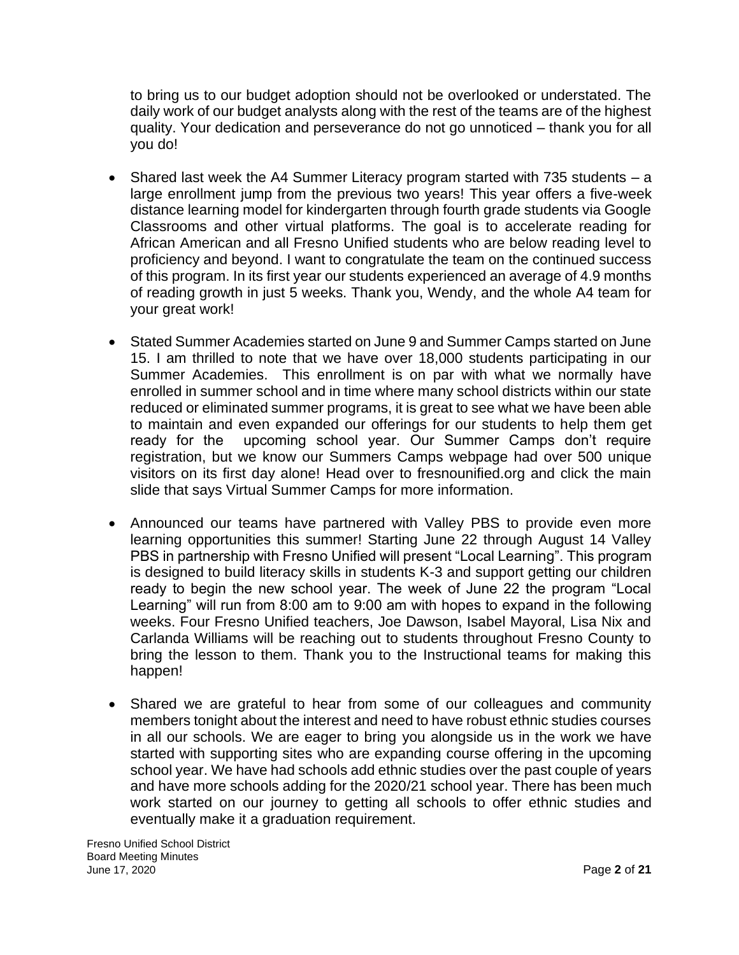to bring us to our budget adoption should not be overlooked or understated. The daily work of our budget analysts along with the rest of the teams are of the highest quality. Your dedication and perseverance do not go unnoticed – thank you for all you do!

- Shared last week the A4 Summer Literacy program started with 735 students a large enrollment jump from the previous two years! This year offers a five-week distance learning model for kindergarten through fourth grade students via Google Classrooms and other virtual platforms. The goal is to accelerate reading for African American and all Fresno Unified students who are below reading level to proficiency and beyond. I want to congratulate the team on the continued success of this program. In its first year our students experienced an average of 4.9 months of reading growth in just 5 weeks. Thank you, Wendy, and the whole A4 team for your great work!
- Stated Summer Academies started on June 9 and Summer Camps started on June 15. I am thrilled to note that we have over 18,000 students participating in our Summer Academies. This enrollment is on par with what we normally have enrolled in summer school and in time where many school districts within our state reduced or eliminated summer programs, it is great to see what we have been able to maintain and even expanded our offerings for our students to help them get ready for the upcoming school year. Our Summer Camps don't require registration, but we know our Summers Camps webpage had over 500 unique visitors on its first day alone! Head over to fresnounified.org and click the main slide that says Virtual Summer Camps for more information.
- Announced our teams have partnered with Valley PBS to provide even more learning opportunities this summer! Starting June 22 through August 14 Valley PBS in partnership with Fresno Unified will present "Local Learning". This program is designed to build literacy skills in students K-3 and support getting our children ready to begin the new school year. The week of June 22 the program "Local Learning" will run from 8:00 am to 9:00 am with hopes to expand in the following weeks. Four Fresno Unified teachers, Joe Dawson, Isabel Mayoral, Lisa Nix and Carlanda Williams will be reaching out to students throughout Fresno County to bring the lesson to them. Thank you to the Instructional teams for making this happen!
- Shared we are grateful to hear from some of our colleagues and community members tonight about the interest and need to have robust ethnic studies courses in all our schools. We are eager to bring you alongside us in the work we have started with supporting sites who are expanding course offering in the upcoming school year. We have had schools add ethnic studies over the past couple of years and have more schools adding for the 2020/21 school year. There has been much work started on our journey to getting all schools to offer ethnic studies and eventually make it a graduation requirement.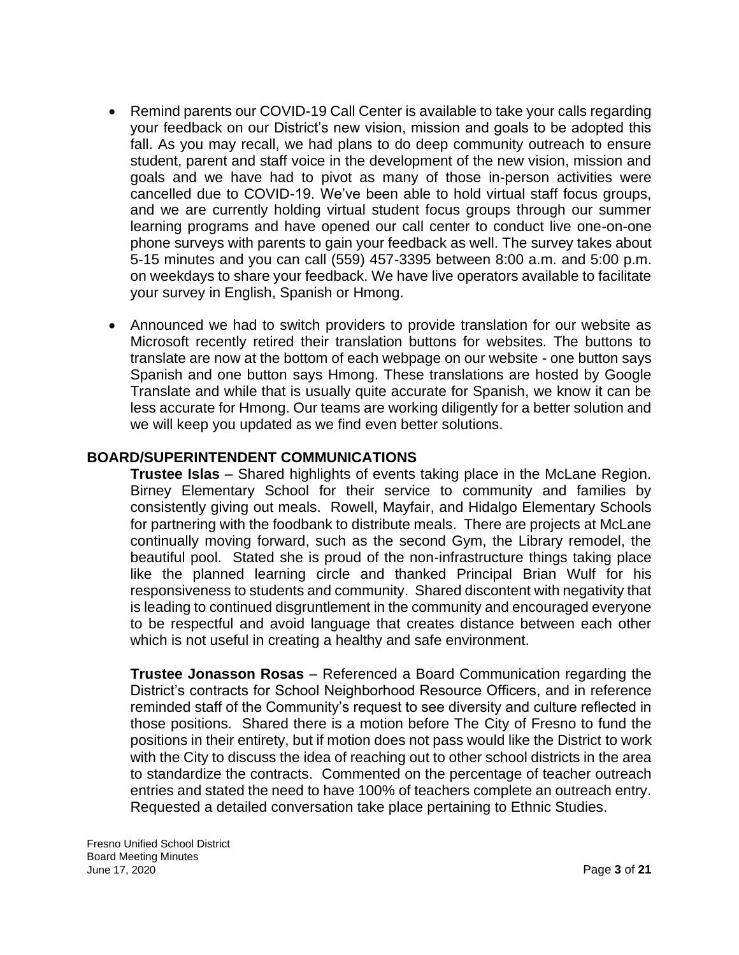- Remind parents our COVID-19 Call Center is available to take your calls regarding your feedback on our District's new vision, mission and goals to be adopted this fall. As you may recall, we had plans to do deep community outreach to ensure student, parent and staff voice in the development of the new vision, mission and goals and we have had to pivot as many of those in-person activities were cancelled due to COVID-19. We've been able to hold virtual staff focus groups, and we are currently holding virtual student focus groups through our summer learning programs and have opened our call center to conduct live one-on-one phone surveys with parents to gain your feedback as well. The survey takes about 5-15 minutes and you can call (559) 457-3395 between 8:00 a.m. and 5:00 p.m. on weekdays to share your feedback. We have live operators available to facilitate your survey in English, Spanish or Hmong.
- Announced we had to switch providers to provide translation for our website as Microsoft recently retired their translation buttons for websites. The buttons to translate are now at the bottom of each webpage on our website - one button says Spanish and one button says Hmong. These translations are hosted by Google Translate and while that is usually quite accurate for Spanish, we know it can be less accurate for Hmong. Our teams are working diligently for a better solution and we will keep you updated as we find even better solutions.

### **BOARD/SUPERINTENDENT COMMUNICATIONS**

**Trustee Islas** – Shared highlights of events taking place in the McLane Region. Birney Elementary School for their service to community and families by consistently giving out meals. Rowell, Mayfair, and Hidalgo Elementary Schools for partnering with the foodbank to distribute meals. There are projects at McLane continually moving forward, such as the second Gym, the Library remodel, the beautiful pool. Stated she is proud of the non-infrastructure things taking place like the planned learning circle and thanked Principal Brian Wulf for his responsiveness to students and community. Shared discontent with negativity that is leading to continued disgruntlement in the community and encouraged everyone to be respectful and avoid language that creates distance between each other which is not useful in creating a healthy and safe environment.

**Trustee Jonasson Rosas** – Referenced a Board Communication regarding the District's contracts for School Neighborhood Resource Officers, and in reference reminded staff of the Community's request to see diversity and culture reflected in those positions. Shared there is a motion before The City of Fresno to fund the positions in their entirety, but if motion does not pass would like the District to work with the City to discuss the idea of reaching out to other school districts in the area to standardize the contracts. Commented on the percentage of teacher outreach entries and stated the need to have 100% of teachers complete an outreach entry. Requested a detailed conversation take place pertaining to Ethnic Studies.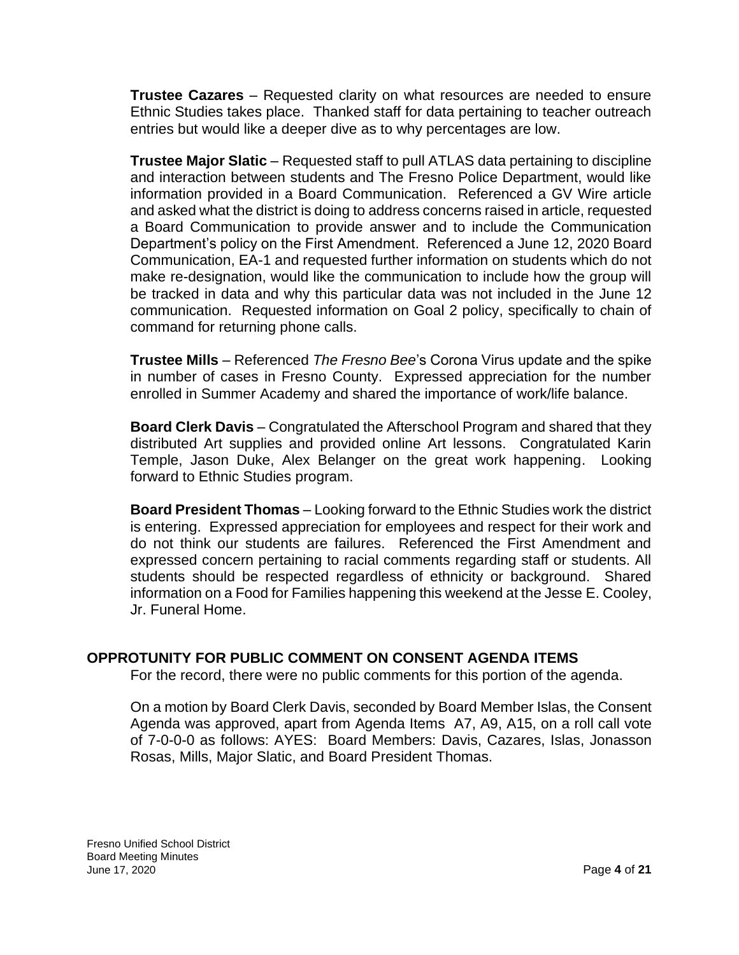**Trustee Cazares** – Requested clarity on what resources are needed to ensure Ethnic Studies takes place. Thanked staff for data pertaining to teacher outreach entries but would like a deeper dive as to why percentages are low.

**Trustee Major Slatic** – Requested staff to pull ATLAS data pertaining to discipline and interaction between students and The Fresno Police Department, would like information provided in a Board Communication. Referenced a GV Wire article and asked what the district is doing to address concerns raised in article, requested a Board Communication to provide answer and to include the Communication Department's policy on the First Amendment. Referenced a June 12, 2020 Board Communication, EA-1 and requested further information on students which do not make re-designation, would like the communication to include how the group will be tracked in data and why this particular data was not included in the June 12 communication. Requested information on Goal 2 policy, specifically to chain of command for returning phone calls.

**Trustee Mills** – Referenced *The Fresno Bee*'s Corona Virus update and the spike in number of cases in Fresno County. Expressed appreciation for the number enrolled in Summer Academy and shared the importance of work/life balance.

**Board Clerk Davis** – Congratulated the Afterschool Program and shared that they distributed Art supplies and provided online Art lessons. Congratulated Karin Temple, Jason Duke, Alex Belanger on the great work happening. Looking forward to Ethnic Studies program.

**Board President Thomas** – Looking forward to the Ethnic Studies work the district is entering. Expressed appreciation for employees and respect for their work and do not think our students are failures. Referenced the First Amendment and expressed concern pertaining to racial comments regarding staff or students. All students should be respected regardless of ethnicity or background. Shared information on a Food for Families happening this weekend at the Jesse E. Cooley, Jr. Funeral Home.

# **OPPROTUNITY FOR PUBLIC COMMENT ON CONSENT AGENDA ITEMS**

For the record, there were no public comments for this portion of the agenda.

On a motion by Board Clerk Davis, seconded by Board Member Islas, the Consent Agenda was approved, apart from Agenda Items A7, A9, A15, on a roll call vote of 7-0-0-0 as follows: AYES: Board Members: Davis, Cazares, Islas, Jonasson Rosas, Mills, Major Slatic, and Board President Thomas.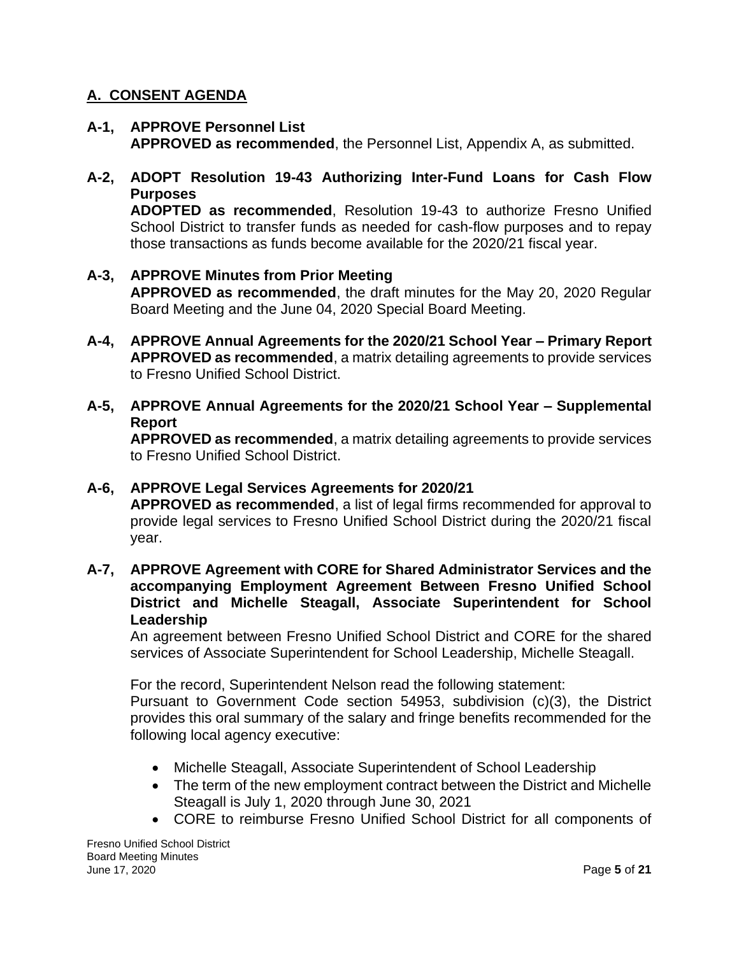### **A. CONSENT AGENDA**

**A-1, APPROVE Personnel List APPROVED as recommended**, the Personnel List, Appendix A, as submitted.

# **A-2, ADOPT Resolution 19-43 Authorizing Inter-Fund Loans for Cash Flow Purposes**

**ADOPTED as recommended**, Resolution 19-43 to authorize Fresno Unified School District to transfer funds as needed for cash-flow purposes and to repay those transactions as funds become available for the 2020/21 fiscal year.

# **A-3, APPROVE Minutes from Prior Meeting APPROVED as recommended**, the draft minutes for the May 20, 2020 Regular Board Meeting and the June 04, 2020 Special Board Meeting.

- **A-4, APPROVE Annual Agreements for the 2020/21 School Year – Primary Report APPROVED as recommended**, a matrix detailing agreements to provide services to Fresno Unified School District.
- **A-5, APPROVE Annual Agreements for the 2020/21 School Year – Supplemental Report**

**APPROVED as recommended**, a matrix detailing agreements to provide services to Fresno Unified School District.

### **A-6, APPROVE Legal Services Agreements for 2020/21**

**APPROVED as recommended**, a list of legal firms recommended for approval to provide legal services to Fresno Unified School District during the 2020/21 fiscal year.

**A-7, APPROVE Agreement with CORE for Shared Administrator Services and the accompanying Employment Agreement Between Fresno Unified School District and Michelle Steagall, Associate Superintendent for School Leadership**

An agreement between Fresno Unified School District and CORE for the shared services of Associate Superintendent for School Leadership, Michelle Steagall.

For the record, Superintendent Nelson read the following statement:

Pursuant to Government Code section 54953, subdivision (c)(3), the District provides this oral summary of the salary and fringe benefits recommended for the following local agency executive:

- Michelle Steagall, Associate Superintendent of School Leadership
- The term of the new employment contract between the District and Michelle Steagall is July 1, 2020 through June 30, 2021
- CORE to reimburse Fresno Unified School District for all components of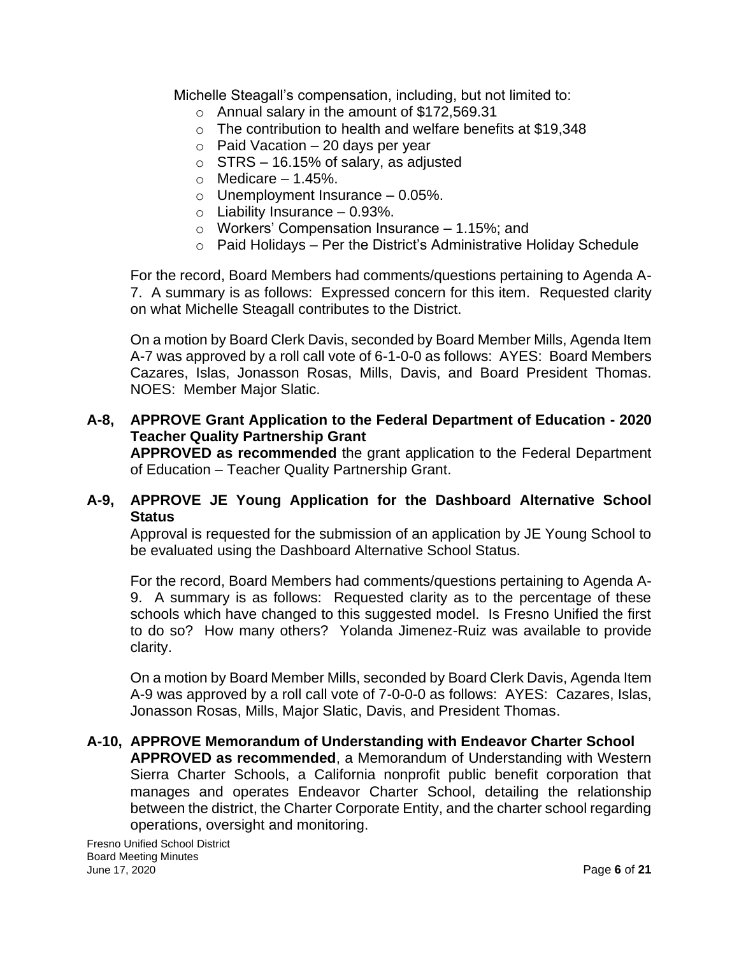Michelle Steagall's compensation, including, but not limited to:

- o Annual salary in the amount of \$172,569.31
- o The contribution to health and welfare benefits at \$19,348
- $\circ$  Paid Vacation 20 days per year
- $\circ$  STRS 16.15% of salary, as adjusted
- $\circ$  Medicare 1.45%.
- $\circ$  Unemployment Insurance 0.05%.
- $\circ$  Liability Insurance 0.93%.
- o Workers' Compensation Insurance 1.15%; and
- $\circ$  Paid Holidays Per the District's Administrative Holiday Schedule

For the record, Board Members had comments/questions pertaining to Agenda A-7. A summary is as follows: Expressed concern for this item. Requested clarity on what Michelle Steagall contributes to the District.

On a motion by Board Clerk Davis, seconded by Board Member Mills, Agenda Item A-7 was approved by a roll call vote of 6-1-0-0 as follows: AYES: Board Members Cazares, Islas, Jonasson Rosas, Mills, Davis, and Board President Thomas. NOES: Member Major Slatic.

### **A-8, APPROVE Grant Application to the Federal Department of Education - 2020 Teacher Quality Partnership Grant**

**APPROVED as recommended** the grant application to the Federal Department of Education – Teacher Quality Partnership Grant.

### **A-9, APPROVE JE Young Application for the Dashboard Alternative School Status**

Approval is requested for the submission of an application by JE Young School to be evaluated using the Dashboard Alternative School Status.

For the record, Board Members had comments/questions pertaining to Agenda A-9. A summary is as follows: Requested clarity as to the percentage of these schools which have changed to this suggested model. Is Fresno Unified the first to do so? How many others? Yolanda Jimenez-Ruiz was available to provide clarity.

On a motion by Board Member Mills, seconded by Board Clerk Davis, Agenda Item A-9 was approved by a roll call vote of 7-0-0-0 as follows: AYES: Cazares, Islas, Jonasson Rosas, Mills, Major Slatic, Davis, and President Thomas.

#### **A-10, APPROVE Memorandum of Understanding with Endeavor Charter School APPROVED as recommended**, a Memorandum of Understanding with Western Sierra Charter Schools, a California nonprofit public benefit corporation that manages and operates Endeavor Charter School, detailing the relationship between the district, the Charter Corporate Entity, and the charter school regarding operations, oversight and monitoring.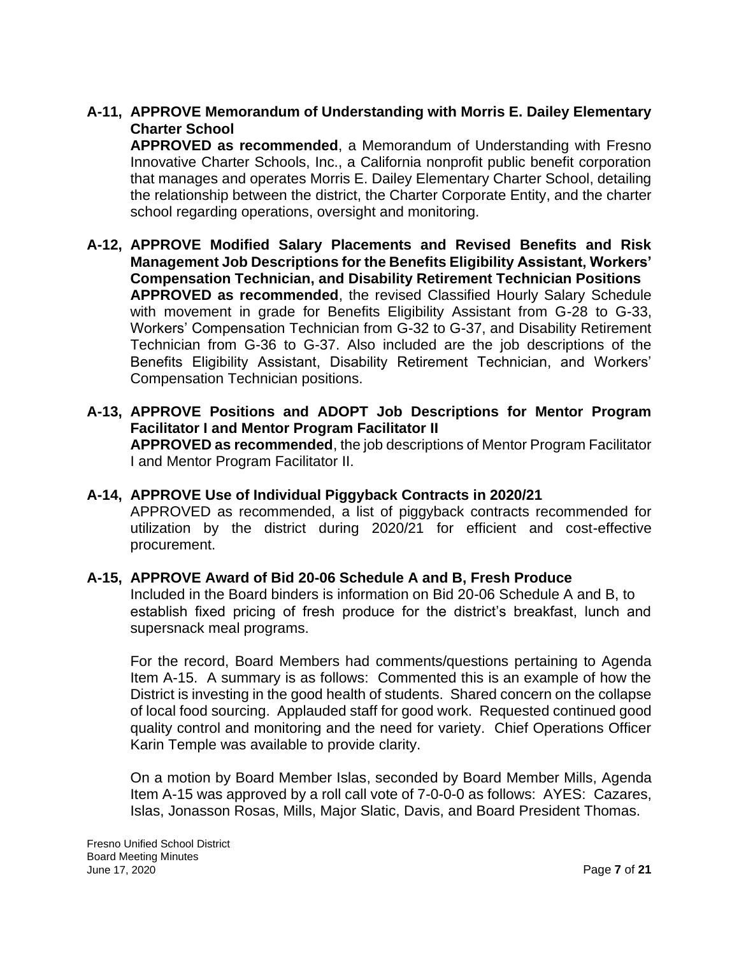### **A-11, APPROVE Memorandum of Understanding with Morris E. Dailey Elementary Charter School**

**APPROVED as recommended**, a Memorandum of Understanding with Fresno Innovative Charter Schools, Inc., a California nonprofit public benefit corporation that manages and operates Morris E. Dailey Elementary Charter School, detailing the relationship between the district, the Charter Corporate Entity, and the charter school regarding operations, oversight and monitoring.

- **A-12, APPROVE Modified Salary Placements and Revised Benefits and Risk Management Job Descriptions for the Benefits Eligibility Assistant, Workers' Compensation Technician, and Disability Retirement Technician Positions APPROVED as recommended**, the revised Classified Hourly Salary Schedule with movement in grade for Benefits Eligibility Assistant from G-28 to G-33, Workers' Compensation Technician from G-32 to G-37, and Disability Retirement Technician from G-36 to G-37. Also included are the job descriptions of the Benefits Eligibility Assistant, Disability Retirement Technician, and Workers' Compensation Technician positions.
- **A-13, APPROVE Positions and ADOPT Job Descriptions for Mentor Program Facilitator I and Mentor Program Facilitator II APPROVED as recommended**, the job descriptions of Mentor Program Facilitator I and Mentor Program Facilitator II.

#### **A-14, APPROVE Use of Individual Piggyback Contracts in 2020/21** APPROVED as recommended, a list of piggyback contracts recommended for

utilization by the district during 2020/21 for efficient and cost-effective procurement.

### **A-15, APPROVE Award of Bid 20-06 Schedule A and B, Fresh Produce**

Included in the Board binders is information on Bid 20-06 Schedule A and B, to establish fixed pricing of fresh produce for the district's breakfast, lunch and supersnack meal programs.

For the record, Board Members had comments/questions pertaining to Agenda Item A-15. A summary is as follows: Commented this is an example of how the District is investing in the good health of students. Shared concern on the collapse of local food sourcing. Applauded staff for good work. Requested continued good quality control and monitoring and the need for variety. Chief Operations Officer Karin Temple was available to provide clarity.

On a motion by Board Member Islas, seconded by Board Member Mills, Agenda Item A-15 was approved by a roll call vote of 7-0-0-0 as follows: AYES: Cazares, Islas, Jonasson Rosas, Mills, Major Slatic, Davis, and Board President Thomas.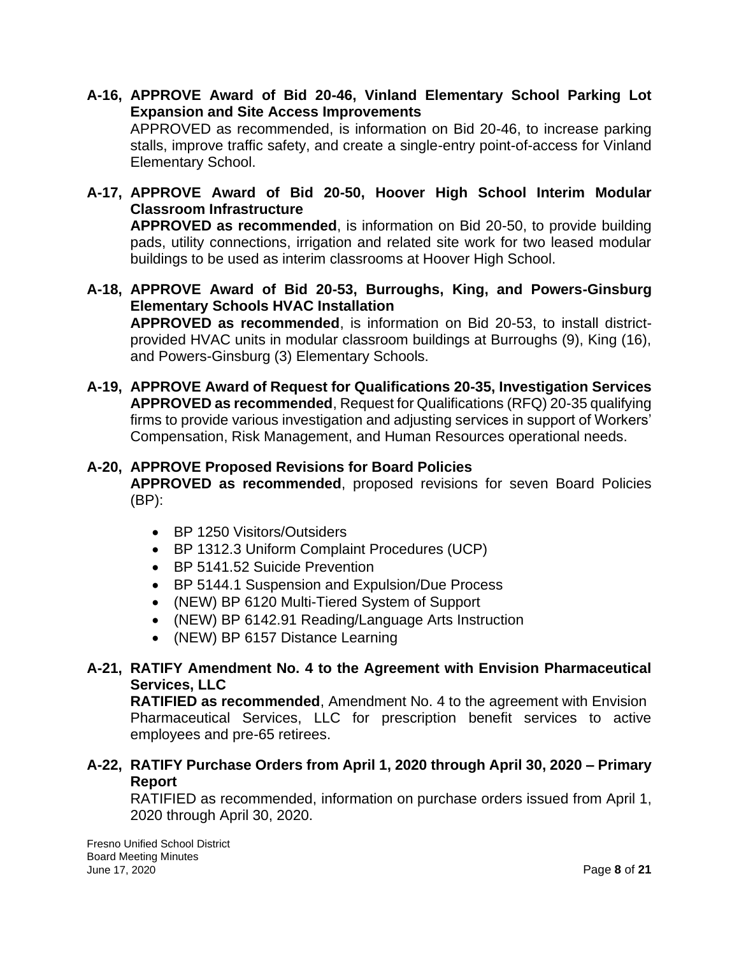- **A-16, APPROVE Award of Bid 20-46, Vinland Elementary School Parking Lot Expansion and Site Access Improvements** APPROVED as recommended, is information on Bid 20-46, to increase parking stalls, improve traffic safety, and create a single-entry point-of-access for Vinland Elementary School.
- **A-17, APPROVE Award of Bid 20-50, Hoover High School Interim Modular Classroom Infrastructure APPROVED as recommended**, is information on Bid 20-50, to provide building pads, utility connections, irrigation and related site work for two leased modular buildings to be used as interim classrooms at Hoover High School.
- **A-18, APPROVE Award of Bid 20-53, Burroughs, King, and Powers-Ginsburg Elementary Schools HVAC Installation APPROVED as recommended**, is information on Bid 20-53, to install district-

provided HVAC units in modular classroom buildings at Burroughs (9), King (16), and Powers-Ginsburg (3) Elementary Schools.

**A-19, APPROVE Award of Request for Qualifications 20-35, Investigation Services APPROVED as recommended**, Request for Qualifications (RFQ) 20-35 qualifying firms to provide various investigation and adjusting services in support of Workers' Compensation, Risk Management, and Human Resources operational needs.

### **A-20, APPROVE Proposed Revisions for Board Policies**

**APPROVED as recommended**, proposed revisions for seven Board Policies (BP):

- BP 1250 Visitors/Outsiders
- BP 1312.3 Uniform Complaint Procedures (UCP)
- BP 5141.52 Suicide Prevention
- BP 5144.1 Suspension and Expulsion/Due Process
- (NEW) BP 6120 Multi-Tiered System of Support
- (NEW) BP 6142.91 Reading/Language Arts Instruction
- (NEW) BP 6157 Distance Learning

### **A-21, RATIFY Amendment No. 4 to the Agreement with Envision Pharmaceutical Services, LLC**

**RATIFIED as recommended**, Amendment No. 4 to the agreement with Envision Pharmaceutical Services, LLC for prescription benefit services to active employees and pre-65 retirees.

### **A-22, RATIFY Purchase Orders from April 1, 2020 through April 30, 2020 – Primary Report**

RATIFIED as recommended, information on purchase orders issued from April 1, 2020 through April 30, 2020.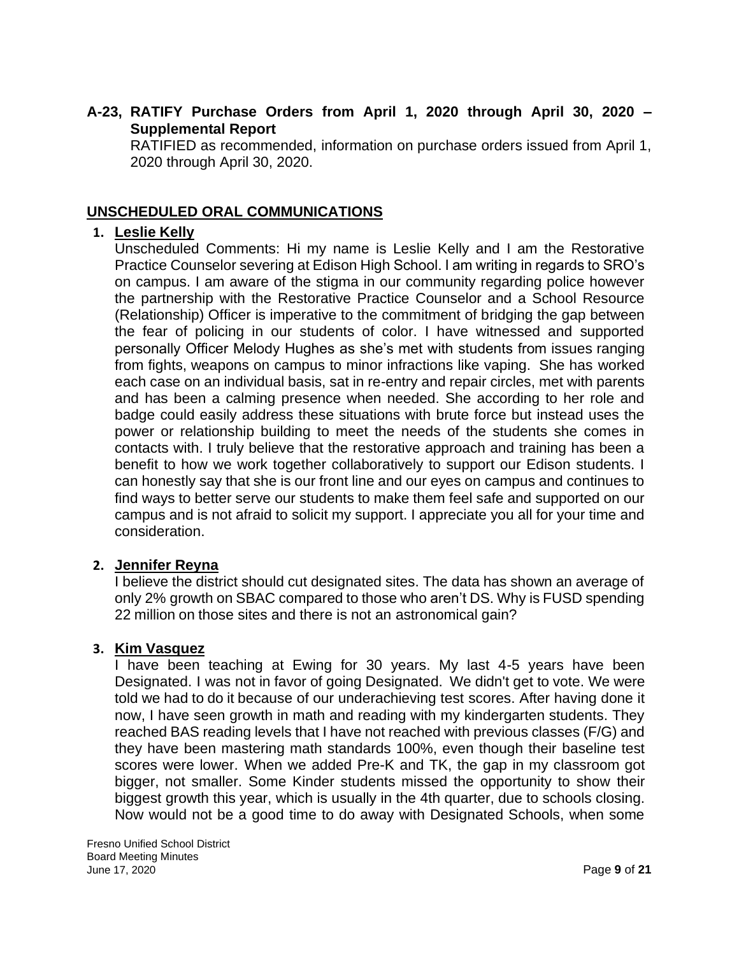### **A-23, RATIFY Purchase Orders from April 1, 2020 through April 30, 2020 – Supplemental Report**

RATIFIED as recommended, information on purchase orders issued from April 1, 2020 through April 30, 2020.

### **UNSCHEDULED ORAL COMMUNICATIONS**

### **1. Leslie Kelly**

Unscheduled Comments: Hi my name is Leslie Kelly and I am the Restorative Practice Counselor severing at Edison High School. I am writing in regards to SRO's on campus. I am aware of the stigma in our community regarding police however the partnership with the Restorative Practice Counselor and a School Resource (Relationship) Officer is imperative to the commitment of bridging the gap between the fear of policing in our students of color. I have witnessed and supported personally Officer Melody Hughes as she's met with students from issues ranging from fights, weapons on campus to minor infractions like vaping. She has worked each case on an individual basis, sat in re-entry and repair circles, met with parents and has been a calming presence when needed. She according to her role and badge could easily address these situations with brute force but instead uses the power or relationship building to meet the needs of the students she comes in contacts with. I truly believe that the restorative approach and training has been a benefit to how we work together collaboratively to support our Edison students. I can honestly say that she is our front line and our eyes on campus and continues to find ways to better serve our students to make them feel safe and supported on our campus and is not afraid to solicit my support. I appreciate you all for your time and consideration.

### **2. Jennifer Reyna**

I believe the district should cut designated sites. The data has shown an average of only 2% growth on SBAC compared to those who aren't DS. Why is FUSD spending 22 million on those sites and there is not an astronomical gain?

### **3. Kim Vasquez**

I have been teaching at Ewing for 30 years. My last 4-5 years have been Designated. I was not in favor of going Designated. We didn't get to vote. We were told we had to do it because of our underachieving test scores. After having done it now, I have seen growth in math and reading with my kindergarten students. They reached BAS reading levels that I have not reached with previous classes (F/G) and they have been mastering math standards 100%, even though their baseline test scores were lower. When we added Pre-K and TK, the gap in my classroom got bigger, not smaller. Some Kinder students missed the opportunity to show their biggest growth this year, which is usually in the 4th quarter, due to schools closing. Now would not be a good time to do away with Designated Schools, when some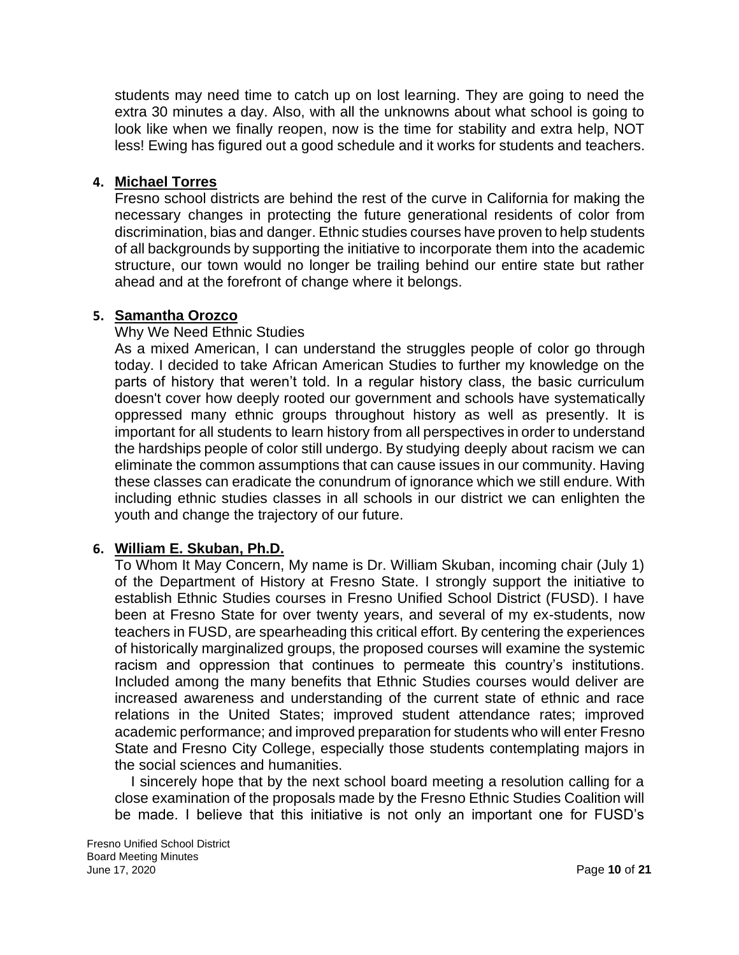students may need time to catch up on lost learning. They are going to need the extra 30 minutes a day. Also, with all the unknowns about what school is going to look like when we finally reopen, now is the time for stability and extra help, NOT less! Ewing has figured out a good schedule and it works for students and teachers.

#### **4. Michael Torres**

Fresno school districts are behind the rest of the curve in California for making the necessary changes in protecting the future generational residents of color from discrimination, bias and danger. Ethnic studies courses have proven to help students of all backgrounds by supporting the initiative to incorporate them into the academic structure, our town would no longer be trailing behind our entire state but rather ahead and at the forefront of change where it belongs.

### **5. Samantha Orozco**

#### Why We Need Ethnic Studies

As a mixed American, I can understand the struggles people of color go through today. I decided to take African American Studies to further my knowledge on the parts of history that weren't told. In a regular history class, the basic curriculum doesn't cover how deeply rooted our government and schools have systematically oppressed many ethnic groups throughout history as well as presently. It is important for all students to learn history from all perspectives in order to understand the hardships people of color still undergo. By studying deeply about racism we can eliminate the common assumptions that can cause issues in our community. Having these classes can eradicate the conundrum of ignorance which we still endure. With including ethnic studies classes in all schools in our district we can enlighten the youth and change the trajectory of our future.

### **6. William E. Skuban, Ph.D.**

To Whom It May Concern, My name is Dr. William Skuban, incoming chair (July 1) of the Department of History at Fresno State. I strongly support the initiative to establish Ethnic Studies courses in Fresno Unified School District (FUSD). I have been at Fresno State for over twenty years, and several of my ex-students, now teachers in FUSD, are spearheading this critical effort. By centering the experiences of historically marginalized groups, the proposed courses will examine the systemic racism and oppression that continues to permeate this country's institutions. Included among the many benefits that Ethnic Studies courses would deliver are increased awareness and understanding of the current state of ethnic and race relations in the United States; improved student attendance rates; improved academic performance; and improved preparation for students who will enter Fresno State and Fresno City College, especially those students contemplating majors in the social sciences and humanities.

I sincerely hope that by the next school board meeting a resolution calling for a close examination of the proposals made by the Fresno Ethnic Studies Coalition will be made. I believe that this initiative is not only an important one for FUSD's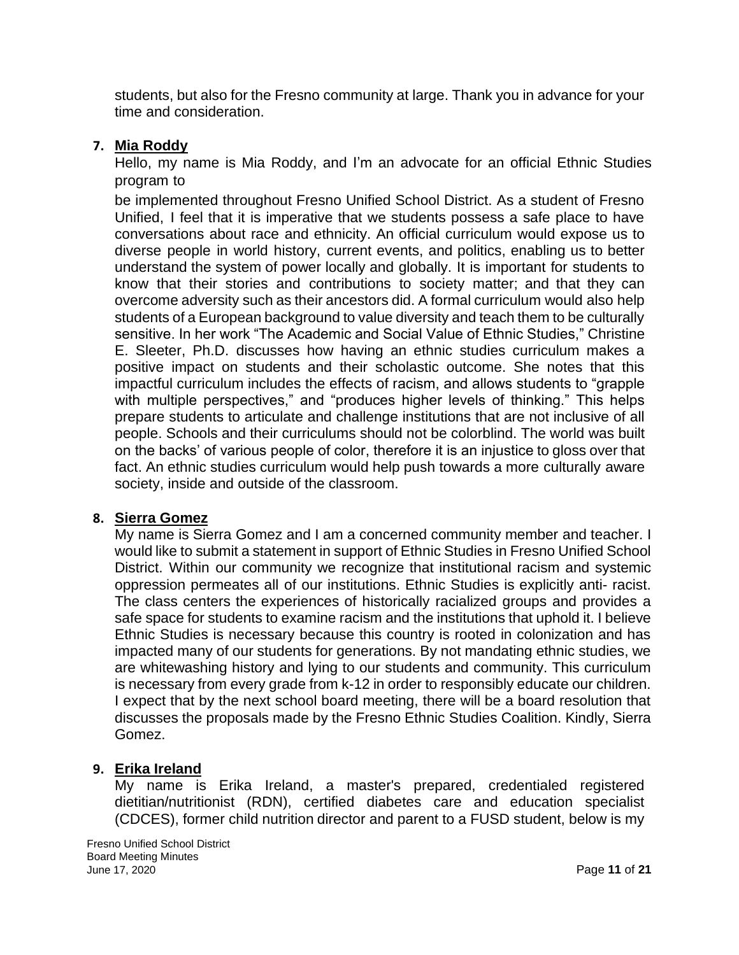students, but also for the Fresno community at large. Thank you in advance for your time and consideration.

### **7. Mia Roddy**

Hello, my name is Mia Roddy, and I'm an advocate for an official Ethnic Studies program to

be implemented throughout Fresno Unified School District. As a student of Fresno Unified, I feel that it is imperative that we students possess a safe place to have conversations about race and ethnicity. An official curriculum would expose us to diverse people in world history, current events, and politics, enabling us to better understand the system of power locally and globally. It is important for students to know that their stories and contributions to society matter; and that they can overcome adversity such as their ancestors did. A formal curriculum would also help students of a European background to value diversity and teach them to be culturally sensitive. In her work "The Academic and Social Value of Ethnic Studies," Christine E. Sleeter, Ph.D. discusses how having an ethnic studies curriculum makes a positive impact on students and their scholastic outcome. She notes that this impactful curriculum includes the effects of racism, and allows students to "grapple with multiple perspectives," and "produces higher levels of thinking." This helps prepare students to articulate and challenge institutions that are not inclusive of all people. Schools and their curriculums should not be colorblind. The world was built on the backs' of various people of color, therefore it is an injustice to gloss over that fact. An ethnic studies curriculum would help push towards a more culturally aware society, inside and outside of the classroom.

### **8. Sierra Gomez**

My name is Sierra Gomez and I am a concerned community member and teacher. I would like to submit a statement in support of Ethnic Studies in Fresno Unified School District. Within our community we recognize that institutional racism and systemic oppression permeates all of our institutions. Ethnic Studies is explicitly anti- racist. The class centers the experiences of historically racialized groups and provides a safe space for students to examine racism and the institutions that uphold it. I believe Ethnic Studies is necessary because this country is rooted in colonization and has impacted many of our students for generations. By not mandating ethnic studies, we are whitewashing history and lying to our students and community. This curriculum is necessary from every grade from k-12 in order to responsibly educate our children. I expect that by the next school board meeting, there will be a board resolution that discusses the proposals made by the Fresno Ethnic Studies Coalition. Kindly, Sierra Gomez.

# **9. Erika Ireland**

My name is Erika Ireland, a master's prepared, credentialed registered dietitian/nutritionist (RDN), certified diabetes care and education specialist (CDCES), former child nutrition director and parent to a FUSD student, below is my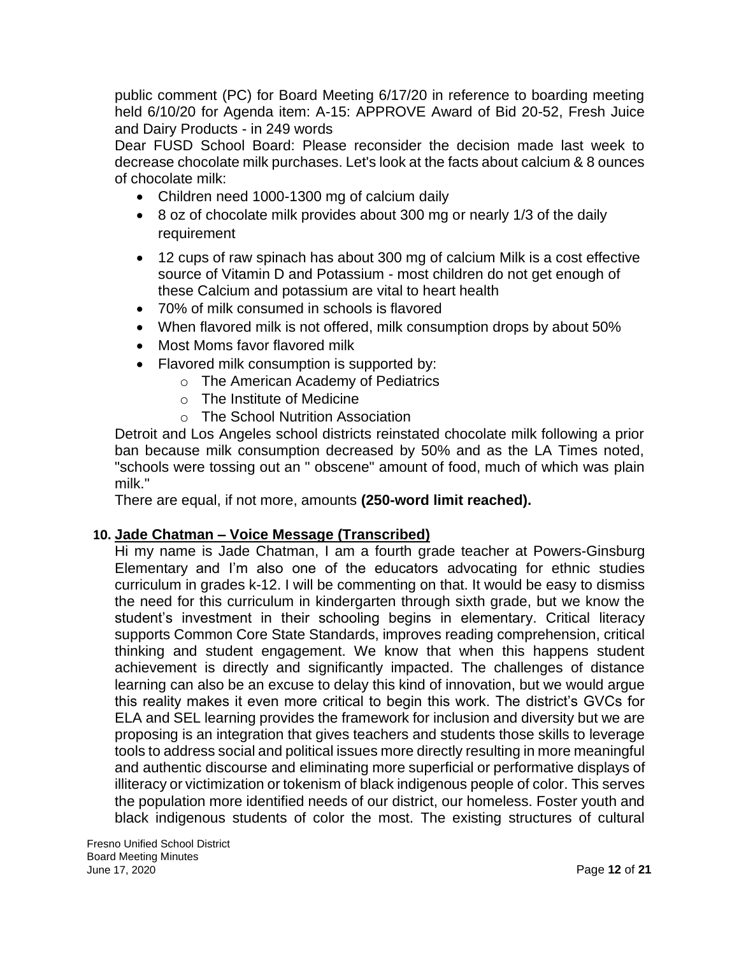public comment (PC) for Board Meeting 6/17/20 in reference to boarding meeting held 6/10/20 for Agenda item: A-15: APPROVE Award of Bid 20-52, Fresh Juice and Dairy Products - in 249 words

Dear FUSD School Board: Please reconsider the decision made last week to decrease chocolate milk purchases. Let's look at the facts about calcium & 8 ounces of chocolate milk:

- Children need 1000-1300 mg of calcium daily
- 8 oz of chocolate milk provides about 300 mg or nearly 1/3 of the daily requirement
- 12 cups of raw spinach has about 300 mg of calcium Milk is a cost effective source of Vitamin D and Potassium - most children do not get enough of these Calcium and potassium are vital to heart health
- 70% of milk consumed in schools is flavored
- When flavored milk is not offered, milk consumption drops by about 50%
- Most Moms favor flavored milk
- Flavored milk consumption is supported by:
	- o The American Academy of Pediatrics
	- o The Institute of Medicine
	- o The School Nutrition Association

Detroit and Los Angeles school districts reinstated chocolate milk following a prior ban because milk consumption decreased by 50% and as the LA Times noted, "schools were tossing out an " obscene" amount of food, much of which was plain milk."

There are equal, if not more, amounts **(250-word limit reached).**

# **10. Jade Chatman – Voice Message (Transcribed)**

Hi my name is Jade Chatman, I am a fourth grade teacher at Powers-Ginsburg Elementary and I'm also one of the educators advocating for ethnic studies curriculum in grades k-12. I will be commenting on that. It would be easy to dismiss the need for this curriculum in kindergarten through sixth grade, but we know the student's investment in their schooling begins in elementary. Critical literacy supports Common Core State Standards, improves reading comprehension, critical thinking and student engagement. We know that when this happens student achievement is directly and significantly impacted. The challenges of distance learning can also be an excuse to delay this kind of innovation, but we would argue this reality makes it even more critical to begin this work. The district's GVCs for ELA and SEL learning provides the framework for inclusion and diversity but we are proposing is an integration that gives teachers and students those skills to leverage tools to address social and political issues more directly resulting in more meaningful and authentic discourse and eliminating more superficial or performative displays of illiteracy or victimization or tokenism of black indigenous people of color. This serves the population more identified needs of our district, our homeless. Foster youth and black indigenous students of color the most. The existing structures of cultural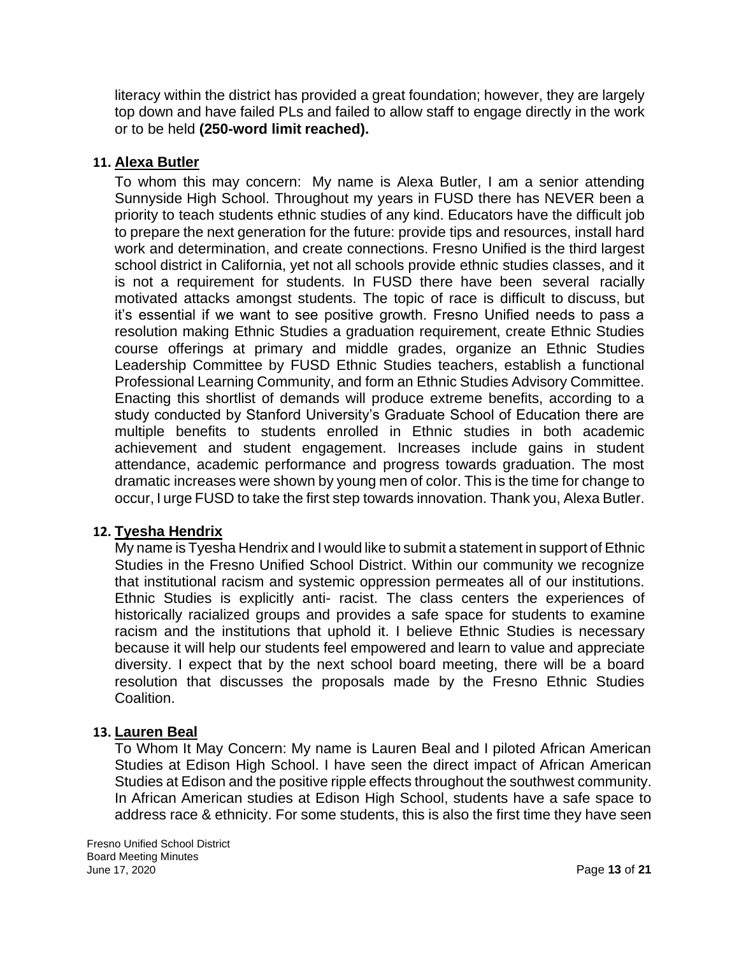literacy within the district has provided a great foundation; however, they are largely top down and have failed PLs and failed to allow staff to engage directly in the work or to be held **(250-word limit reached).**

### **11. Alexa Butler**

To whom this may concern: My name is Alexa Butler, I am a senior attending Sunnyside High School. Throughout my years in FUSD there has NEVER been a priority to teach students ethnic studies of any kind. Educators have the difficult job to prepare the next generation for the future: provide tips and resources, install hard work and determination, and create connections. Fresno Unified is the third largest school district in California, yet not all schools provide ethnic studies classes, and it is not a requirement for students. In FUSD there have been several racially motivated attacks amongst students. The topic of race is difficult to discuss, but it's essential if we want to see positive growth. Fresno Unified needs to pass a resolution making Ethnic Studies a graduation requirement, create Ethnic Studies course offerings at primary and middle grades, organize an Ethnic Studies Leadership Committee by FUSD Ethnic Studies teachers, establish a functional Professional Learning Community, and form an Ethnic Studies Advisory Committee. Enacting this shortlist of demands will produce extreme benefits, according to a study conducted by Stanford University's Graduate School of Education there are multiple benefits to students enrolled in Ethnic studies in both academic achievement and student engagement. Increases include gains in student attendance, academic performance and progress towards graduation. The most dramatic increases were shown by young men of color. This is the time for change to occur, I urge FUSD to take the first step towards innovation. Thank you, Alexa Butler.

### **12. Tyesha Hendrix**

My name is Tyesha Hendrix and I would like to submit a statement in support of Ethnic Studies in the Fresno Unified School District. Within our community we recognize that institutional racism and systemic oppression permeates all of our institutions. Ethnic Studies is explicitly anti- racist. The class centers the experiences of historically racialized groups and provides a safe space for students to examine racism and the institutions that uphold it. I believe Ethnic Studies is necessary because it will help our students feel empowered and learn to value and appreciate diversity. I expect that by the next school board meeting, there will be a board resolution that discusses the proposals made by the Fresno Ethnic Studies Coalition.

### **13. Lauren Beal**

To Whom It May Concern: My name is Lauren Beal and I piloted African American Studies at Edison High School. I have seen the direct impact of African American Studies at Edison and the positive ripple effects throughout the southwest community. In African American studies at Edison High School, students have a safe space to address race & ethnicity. For some students, this is also the first time they have seen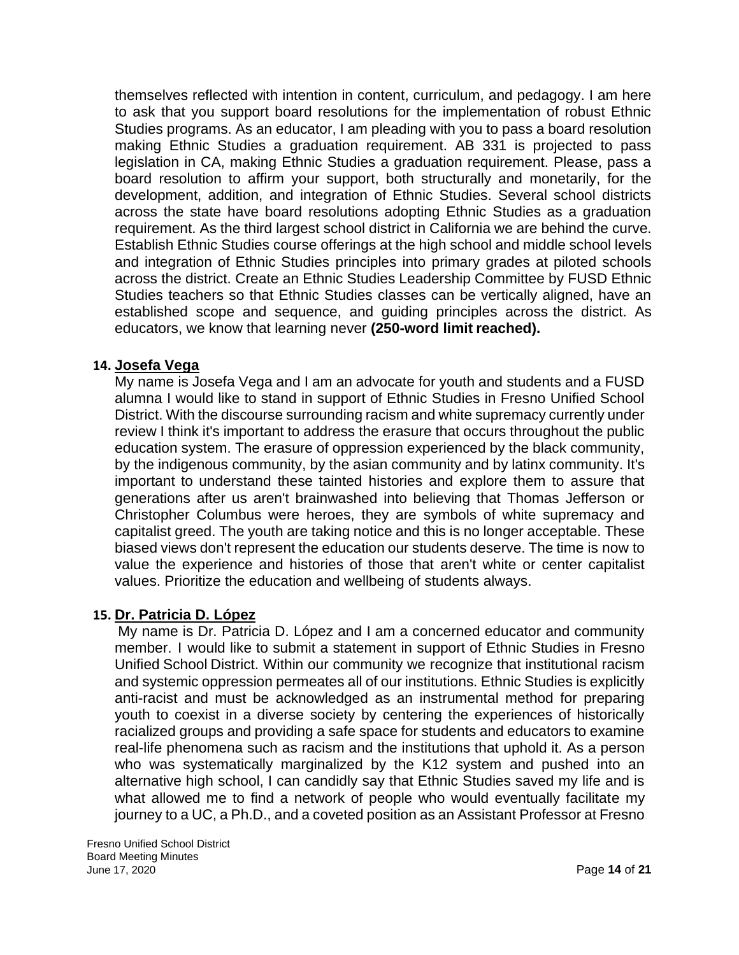themselves reflected with intention in content, curriculum, and pedagogy. I am here to ask that you support board resolutions for the implementation of robust Ethnic Studies programs. As an educator, I am pleading with you to pass a board resolution making Ethnic Studies a graduation requirement. AB 331 is projected to pass legislation in CA, making Ethnic Studies a graduation requirement. Please, pass a board resolution to affirm your support, both structurally and monetarily, for the development, addition, and integration of Ethnic Studies. Several school districts across the state have board resolutions adopting Ethnic Studies as a graduation requirement. As the third largest school district in California we are behind the curve. Establish Ethnic Studies course offerings at the high school and middle school levels and integration of Ethnic Studies principles into primary grades at piloted schools across the district. Create an Ethnic Studies Leadership Committee by FUSD Ethnic Studies teachers so that Ethnic Studies classes can be vertically aligned, have an established scope and sequence, and guiding principles across the district. As educators, we know that learning never **(250-word limit reached).**

#### **14. Josefa Vega**

My name is Josefa Vega and I am an advocate for youth and students and a FUSD alumna I would like to stand in support of Ethnic Studies in Fresno Unified School District. With the discourse surrounding racism and white supremacy currently under review I think it's important to address the erasure that occurs throughout the public education system. The erasure of oppression experienced by the black community, by the indigenous community, by the asian community and by latinx community. It's important to understand these tainted histories and explore them to assure that generations after us aren't brainwashed into believing that Thomas Jefferson or Christopher Columbus were heroes, they are symbols of white supremacy and capitalist greed. The youth are taking notice and this is no longer acceptable. These biased views don't represent the education our students deserve. The time is now to value the experience and histories of those that aren't white or center capitalist values. Prioritize the education and wellbeing of students always.

### **15. Dr. Patricia D. López**

My name is Dr. Patricia D. López and I am a concerned educator and community member. I would like to submit a statement in support of Ethnic Studies in Fresno Unified School District. Within our community we recognize that institutional racism and systemic oppression permeates all of our institutions. Ethnic Studies is explicitly anti-racist and must be acknowledged as an instrumental method for preparing youth to coexist in a diverse society by centering the experiences of historically racialized groups and providing a safe space for students and educators to examine real-life phenomena such as racism and the institutions that uphold it. As a person who was systematically marginalized by the K12 system and pushed into an alternative high school, I can candidly say that Ethnic Studies saved my life and is what allowed me to find a network of people who would eventually facilitate my journey to a UC, a Ph.D., and a coveted position as an Assistant Professor at Fresno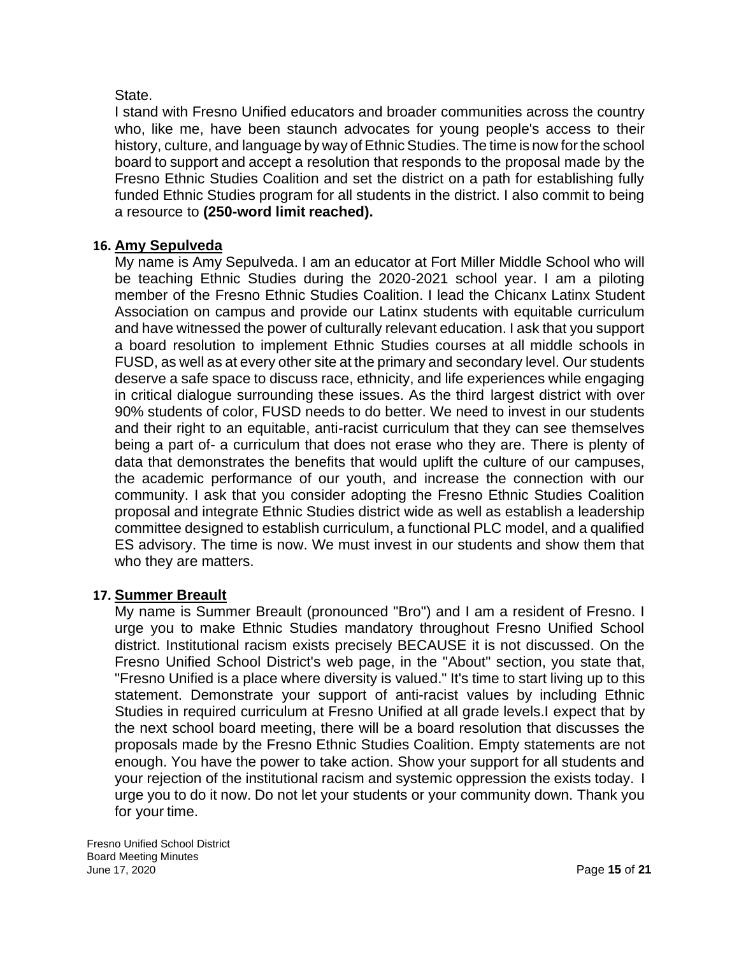### State.

I stand with Fresno Unified educators and broader communities across the country who, like me, have been staunch advocates for young people's access to their history, culture, and language by way of Ethnic Studies. The time is now for the school board to support and accept a resolution that responds to the proposal made by the Fresno Ethnic Studies Coalition and set the district on a path for establishing fully funded Ethnic Studies program for all students in the district. I also commit to being a resource to **(250-word limit reached).**

### **16. Amy Sepulveda**

My name is Amy Sepulveda. I am an educator at Fort Miller Middle School who will be teaching Ethnic Studies during the 2020-2021 school year. I am a piloting member of the Fresno Ethnic Studies Coalition. I lead the Chicanx Latinx Student Association on campus and provide our Latinx students with equitable curriculum and have witnessed the power of culturally relevant education. I ask that you support a board resolution to implement Ethnic Studies courses at all middle schools in FUSD, as well as at every other site at the primary and secondary level. Our students deserve a safe space to discuss race, ethnicity, and life experiences while engaging in critical dialogue surrounding these issues. As the third largest district with over 90% students of color, FUSD needs to do better. We need to invest in our students and their right to an equitable, anti-racist curriculum that they can see themselves being a part of- a curriculum that does not erase who they are. There is plenty of data that demonstrates the benefits that would uplift the culture of our campuses, the academic performance of our youth, and increase the connection with our community. I ask that you consider adopting the Fresno Ethnic Studies Coalition proposal and integrate Ethnic Studies district wide as well as establish a leadership committee designed to establish curriculum, a functional PLC model, and a qualified ES advisory. The time is now. We must invest in our students and show them that who they are matters.

### **17. Summer Breault**

My name is Summer Breault (pronounced "Bro") and I am a resident of Fresno. I urge you to make Ethnic Studies mandatory throughout Fresno Unified School district. Institutional racism exists precisely BECAUSE it is not discussed. On the Fresno Unified School District's web page, in the "About" section, you state that, "Fresno Unified is a place where diversity is valued." It's time to start living up to this statement. Demonstrate your support of anti-racist values by including Ethnic Studies in required curriculum at Fresno Unified at all grade levels.I expect that by the next school board meeting, there will be a board resolution that discusses the proposals made by the Fresno Ethnic Studies Coalition. Empty statements are not enough. You have the power to take action. Show your support for all students and your rejection of the institutional racism and systemic oppression the exists today. I urge you to do it now. Do not let your students or your community down. Thank you for your time.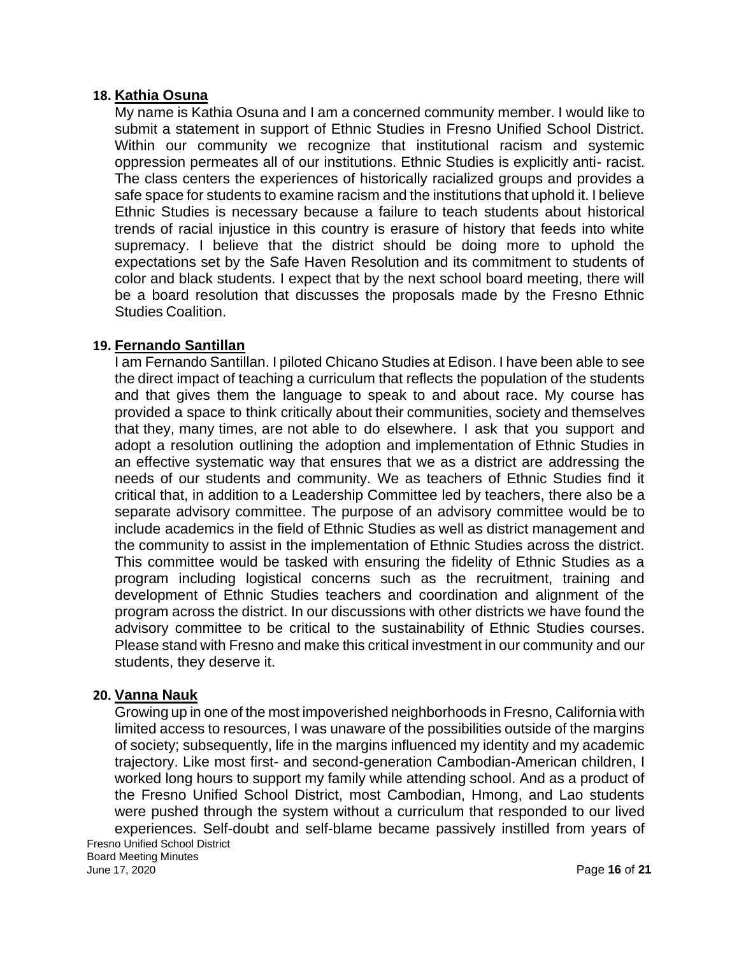#### **18. Kathia Osuna**

My name is Kathia Osuna and I am a concerned community member. I would like to submit a statement in support of Ethnic Studies in Fresno Unified School District. Within our community we recognize that institutional racism and systemic oppression permeates all of our institutions. Ethnic Studies is explicitly anti- racist. The class centers the experiences of historically racialized groups and provides a safe space for students to examine racism and the institutions that uphold it. I believe Ethnic Studies is necessary because a failure to teach students about historical trends of racial injustice in this country is erasure of history that feeds into white supremacy. I believe that the district should be doing more to uphold the expectations set by the Safe Haven Resolution and its commitment to students of color and black students. I expect that by the next school board meeting, there will be a board resolution that discusses the proposals made by the Fresno Ethnic Studies Coalition.

### **19. Fernando Santillan**

I am Fernando Santillan. I piloted Chicano Studies at Edison. I have been able to see the direct impact of teaching a curriculum that reflects the population of the students and that gives them the language to speak to and about race. My course has provided a space to think critically about their communities, society and themselves that they, many times, are not able to do elsewhere. I ask that you support and adopt a resolution outlining the adoption and implementation of Ethnic Studies in an effective systematic way that ensures that we as a district are addressing the needs of our students and community. We as teachers of Ethnic Studies find it critical that, in addition to a Leadership Committee led by teachers, there also be a separate advisory committee. The purpose of an advisory committee would be to include academics in the field of Ethnic Studies as well as district management and the community to assist in the implementation of Ethnic Studies across the district. This committee would be tasked with ensuring the fidelity of Ethnic Studies as a program including logistical concerns such as the recruitment, training and development of Ethnic Studies teachers and coordination and alignment of the program across the district. In our discussions with other districts we have found the advisory committee to be critical to the sustainability of Ethnic Studies courses. Please stand with Fresno and make this critical investment in our community and our students, they deserve it.

### **20. Vanna Nauk**

Fresno Unified School District Board Meeting Minutes Growing up in one of the most impoverished neighborhoods in Fresno, California with limited access to resources, I was unaware of the possibilities outside of the margins of society; subsequently, life in the margins influenced my identity and my academic trajectory. Like most first- and second-generation Cambodian-American children, I worked long hours to support my family while attending school. And as a product of the Fresno Unified School District, most Cambodian, Hmong, and Lao students were pushed through the system without a curriculum that responded to our lived experiences. Self-doubt and self-blame became passively instilled from years of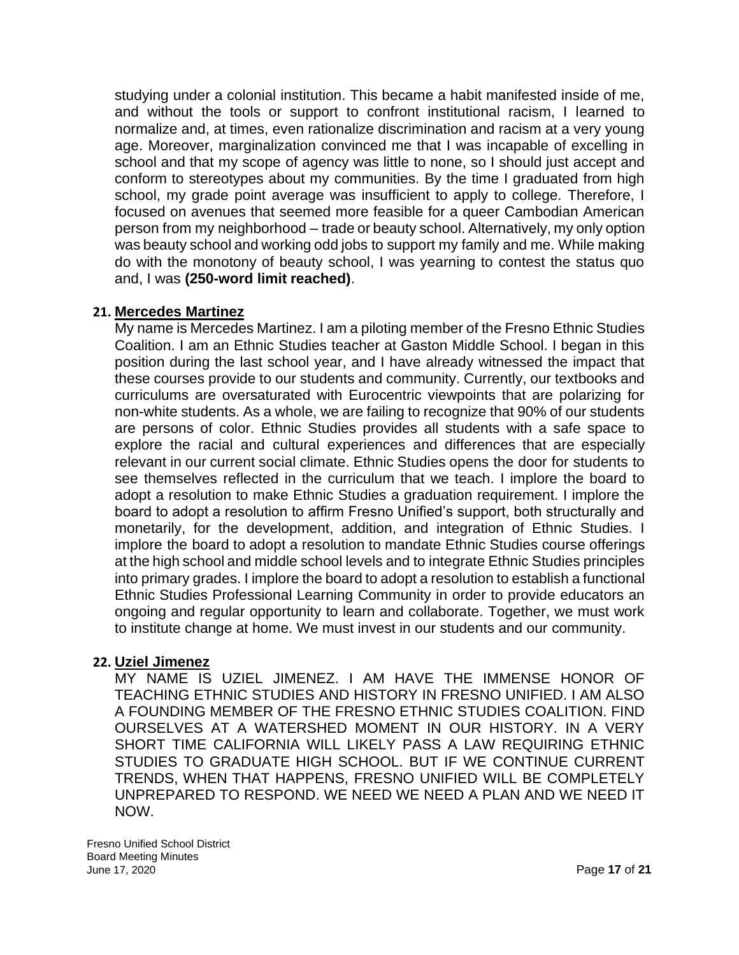studying under a colonial institution. This became a habit manifested inside of me, and without the tools or support to confront institutional racism, I learned to normalize and, at times, even rationalize discrimination and racism at a very young age. Moreover, marginalization convinced me that I was incapable of excelling in school and that my scope of agency was little to none, so I should just accept and conform to stereotypes about my communities. By the time I graduated from high school, my grade point average was insufficient to apply to college. Therefore, I focused on avenues that seemed more feasible for a queer Cambodian American person from my neighborhood – trade or beauty school. Alternatively, my only option was beauty school and working odd jobs to support my family and me. While making do with the monotony of beauty school, I was yearning to contest the status quo and, I was **(250-word limit reached)**.

### **21. Mercedes Martinez**

My name is Mercedes Martinez. I am a piloting member of the Fresno Ethnic Studies Coalition. I am an Ethnic Studies teacher at Gaston Middle School. I began in this position during the last school year, and I have already witnessed the impact that these courses provide to our students and community. Currently, our textbooks and curriculums are oversaturated with Eurocentric viewpoints that are polarizing for non-white students. As a whole, we are failing to recognize that 90% of our students are persons of color. Ethnic Studies provides all students with a safe space to explore the racial and cultural experiences and differences that are especially relevant in our current social climate. Ethnic Studies opens the door for students to see themselves reflected in the curriculum that we teach. I implore the board to adopt a resolution to make Ethnic Studies a graduation requirement. I implore the board to adopt a resolution to affirm Fresno Unified's support, both structurally and monetarily, for the development, addition, and integration of Ethnic Studies. I implore the board to adopt a resolution to mandate Ethnic Studies course offerings at the high school and middle school levels and to integrate Ethnic Studies principles into primary grades. I implore the board to adopt a resolution to establish a functional Ethnic Studies Professional Learning Community in order to provide educators an ongoing and regular opportunity to learn and collaborate. Together, we must work to institute change at home. We must invest in our students and our community.

### **22. Uziel Jimenez**

MY NAME IS UZIEL JIMENEZ. I AM HAVE THE IMMENSE HONOR OF TEACHING ETHNIC STUDIES AND HISTORY IN FRESNO UNIFIED. I AM ALSO A FOUNDING MEMBER OF THE FRESNO ETHNIC STUDIES COALITION. FIND OURSELVES AT A WATERSHED MOMENT IN OUR HISTORY. IN A VERY SHORT TIME CALIFORNIA WILL LIKELY PASS A LAW REQUIRING ETHNIC STUDIES TO GRADUATE HIGH SCHOOL. BUT IF WE CONTINUE CURRENT TRENDS, WHEN THAT HAPPENS, FRESNO UNIFIED WILL BE COMPLETELY UNPREPARED TO RESPOND. WE NEED WE NEED A PLAN AND WE NEED IT NOW.

Fresno Unified School District Board Meeting Minutes June 17, 2020 Page **17** of **21**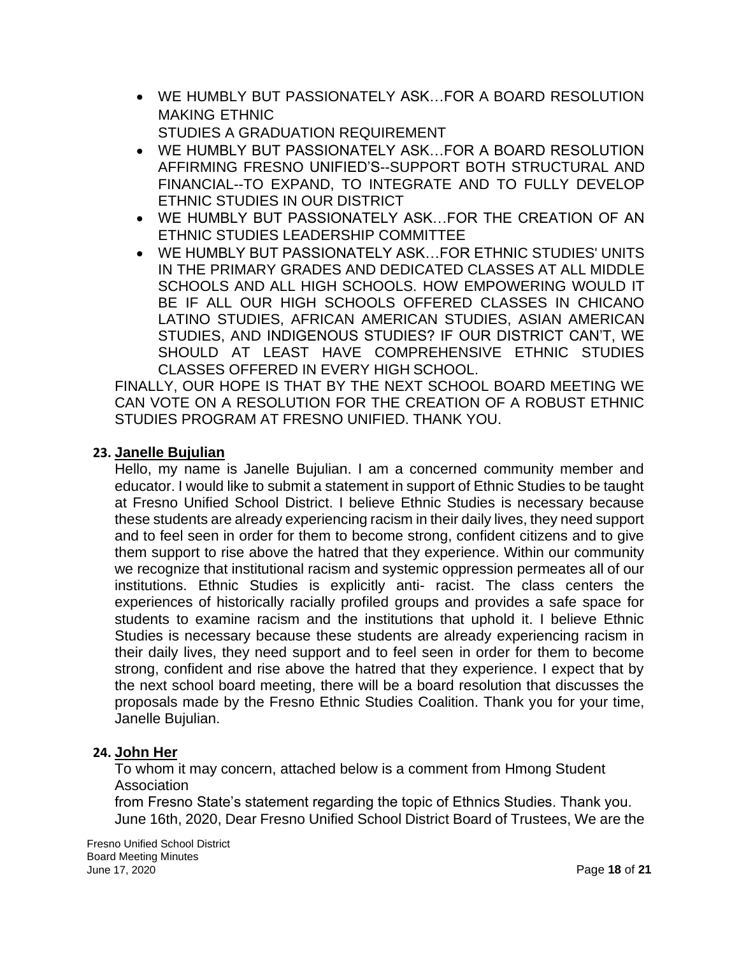- WE HUMBLY BUT PASSIONATELY ASK…FOR A BOARD RESOLUTION MAKING ETHNIC STUDIES A GRADUATION REQUIREMENT
- WE HUMBLY BUT PASSIONATELY ASK…FOR A BOARD RESOLUTION AFFIRMING FRESNO UNIFIED'S--SUPPORT BOTH STRUCTURAL AND FINANCIAL--TO EXPAND, TO INTEGRATE AND TO FULLY DEVELOP ETHNIC STUDIES IN OUR DISTRICT
- WE HUMBLY BUT PASSIONATELY ASK…FOR THE CREATION OF AN ETHNIC STUDIES LEADERSHIP COMMITTEE
- WE HUMBLY BUT PASSIONATELY ASK…FOR ETHNIC STUDIES' UNITS IN THE PRIMARY GRADES AND DEDICATED CLASSES AT ALL MIDDLE SCHOOLS AND ALL HIGH SCHOOLS. HOW EMPOWERING WOULD IT BE IF ALL OUR HIGH SCHOOLS OFFERED CLASSES IN CHICANO LATINO STUDIES, AFRICAN AMERICAN STUDIES, ASIAN AMERICAN STUDIES, AND INDIGENOUS STUDIES? IF OUR DISTRICT CAN'T, WE SHOULD AT LEAST HAVE COMPREHENSIVE ETHNIC STUDIES CLASSES OFFERED IN EVERY HIGH SCHOOL.

FINALLY, OUR HOPE IS THAT BY THE NEXT SCHOOL BOARD MEETING WE CAN VOTE ON A RESOLUTION FOR THE CREATION OF A ROBUST ETHNIC STUDIES PROGRAM AT FRESNO UNIFIED. THANK YOU.

### **23. Janelle Bujulian**

Hello, my name is Janelle Bujulian. I am a concerned community member and educator. I would like to submit a statement in support of Ethnic Studies to be taught at Fresno Unified School District. I believe Ethnic Studies is necessary because these students are already experiencing racism in their daily lives, they need support and to feel seen in order for them to become strong, confident citizens and to give them support to rise above the hatred that they experience. Within our community we recognize that institutional racism and systemic oppression permeates all of our institutions. Ethnic Studies is explicitly anti- racist. The class centers the experiences of historically racially profiled groups and provides a safe space for students to examine racism and the institutions that uphold it. I believe Ethnic Studies is necessary because these students are already experiencing racism in their daily lives, they need support and to feel seen in order for them to become strong, confident and rise above the hatred that they experience. I expect that by the next school board meeting, there will be a board resolution that discusses the proposals made by the Fresno Ethnic Studies Coalition. Thank you for your time, Janelle Bujulian.

### **24. John Her**

To whom it may concern, attached below is a comment from Hmong Student Association

from Fresno State's statement regarding the topic of Ethnics Studies. Thank you. June 16th, 2020, Dear Fresno Unified School District Board of Trustees, We are the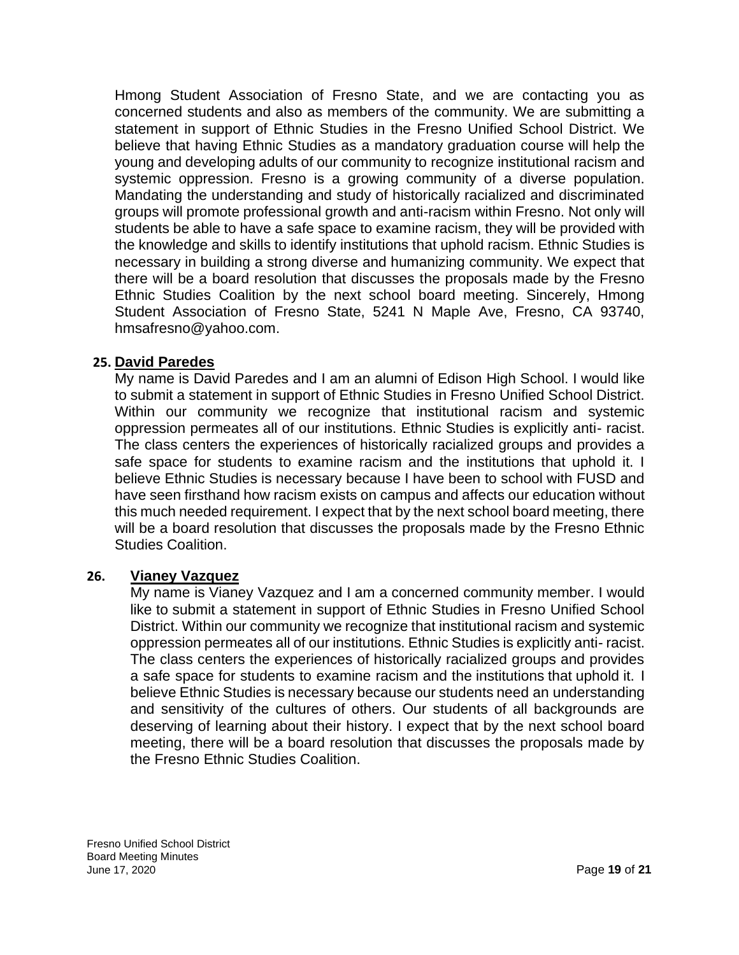Hmong Student Association of Fresno State, and we are contacting you as concerned students and also as members of the community. We are submitting a statement in support of Ethnic Studies in the Fresno Unified School District. We believe that having Ethnic Studies as a mandatory graduation course will help the young and developing adults of our community to recognize institutional racism and systemic oppression. Fresno is a growing community of a diverse population. Mandating the understanding and study of historically racialized and discriminated groups will promote professional growth and anti-racism within Fresno. Not only will students be able to have a safe space to examine racism, they will be provided with the knowledge and skills to identify institutions that uphold racism. Ethnic Studies is necessary in building a strong diverse and humanizing community. We expect that there will be a board resolution that discusses the proposals made by the Fresno Ethnic Studies Coalition by the next school board meeting. Sincerely, Hmong Student Association of Fresno State, 5241 N Maple Ave, Fresno, CA 93740, [hmsafresno@yahoo.com.](mailto:hmsafresno@yahoo.com)

### **25. David Paredes**

My name is David Paredes and I am an alumni of Edison High School. I would like to submit a statement in support of Ethnic Studies in Fresno Unified School District. Within our community we recognize that institutional racism and systemic oppression permeates all of our institutions. Ethnic Studies is explicitly anti- racist. The class centers the experiences of historically racialized groups and provides a safe space for students to examine racism and the institutions that uphold it. I believe Ethnic Studies is necessary because I have been to school with FUSD and have seen firsthand how racism exists on campus and affects our education without this much needed requirement. I expect that by the next school board meeting, there will be a board resolution that discusses the proposals made by the Fresno Ethnic Studies Coalition.

#### **26. Vianey Vazquez**

My name is Vianey Vazquez and I am a concerned community member. I would like to submit a statement in support of Ethnic Studies in Fresno Unified School District. Within our community we recognize that institutional racism and systemic oppression permeates all of our institutions. Ethnic Studies is explicitly anti- racist. The class centers the experiences of historically racialized groups and provides a safe space for students to examine racism and the institutions that uphold it. I believe Ethnic Studies is necessary because our students need an understanding and sensitivity of the cultures of others. Our students of all backgrounds are deserving of learning about their history. I expect that by the next school board meeting, there will be a board resolution that discusses the proposals made by the Fresno Ethnic Studies Coalition.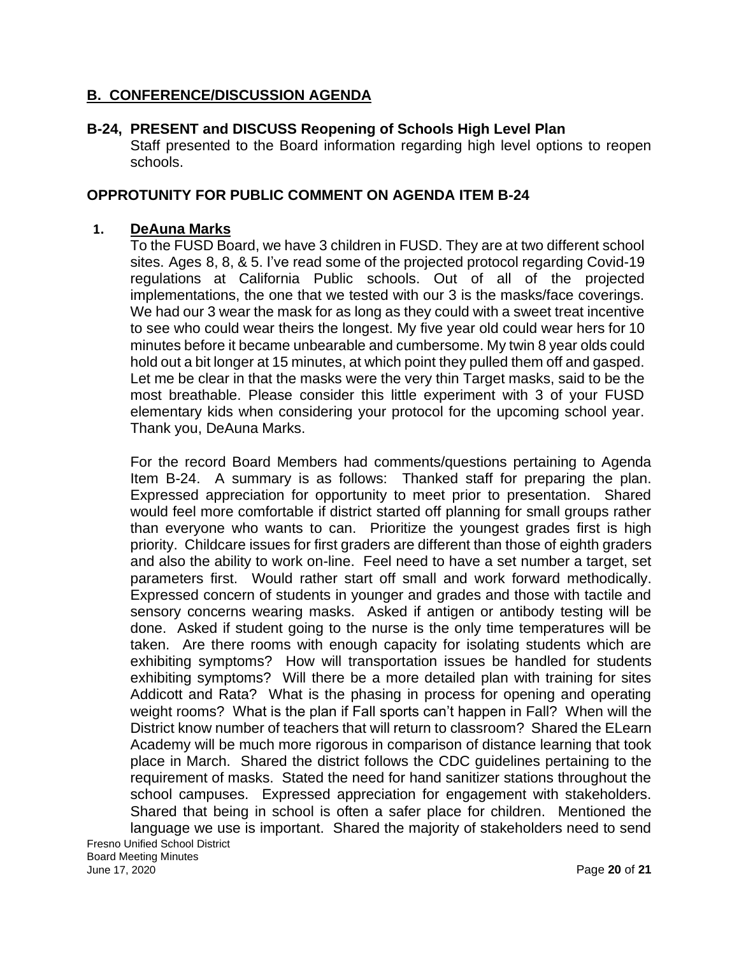### **B. CONFERENCE/DISCUSSION AGENDA**

### **B-24, PRESENT and DISCUSS Reopening of Schools High Level Plan**

Staff presented to the Board information regarding high level options to reopen schools.

### **OPPROTUNITY FOR PUBLIC COMMENT ON AGENDA ITEM B-24**

#### **1. DeAuna Marks**

To the FUSD Board, we have 3 children in FUSD. They are at two different school sites. Ages 8, 8, & 5. I've read some of the projected protocol regarding Covid-19 regulations at California Public schools. Out of all of the projected implementations, the one that we tested with our 3 is the masks/face coverings. We had our 3 wear the mask for as long as they could with a sweet treat incentive to see who could wear theirs the longest. My five year old could wear hers for 10 minutes before it became unbearable and cumbersome. My twin 8 year olds could hold out a bit longer at 15 minutes, at which point they pulled them off and gasped. Let me be clear in that the masks were the very thin Target masks, said to be the most breathable. Please consider this little experiment with 3 of your FUSD elementary kids when considering your protocol for the upcoming school year. Thank you, DeAuna Marks.

For the record Board Members had comments/questions pertaining to Agenda Item B-24. A summary is as follows: Thanked staff for preparing the plan. Expressed appreciation for opportunity to meet prior to presentation. Shared would feel more comfortable if district started off planning for small groups rather than everyone who wants to can. Prioritize the youngest grades first is high priority. Childcare issues for first graders are different than those of eighth graders and also the ability to work on-line. Feel need to have a set number a target, set parameters first. Would rather start off small and work forward methodically. Expressed concern of students in younger and grades and those with tactile and sensory concerns wearing masks. Asked if antigen or antibody testing will be done. Asked if student going to the nurse is the only time temperatures will be taken. Are there rooms with enough capacity for isolating students which are exhibiting symptoms? How will transportation issues be handled for students exhibiting symptoms? Will there be a more detailed plan with training for sites Addicott and Rata? What is the phasing in process for opening and operating weight rooms? What is the plan if Fall sports can't happen in Fall? When will the District know number of teachers that will return to classroom? Shared the ELearn Academy will be much more rigorous in comparison of distance learning that took place in March. Shared the district follows the CDC guidelines pertaining to the requirement of masks. Stated the need for hand sanitizer stations throughout the school campuses. Expressed appreciation for engagement with stakeholders. Shared that being in school is often a safer place for children. Mentioned the language we use is important. Shared the majority of stakeholders need to send